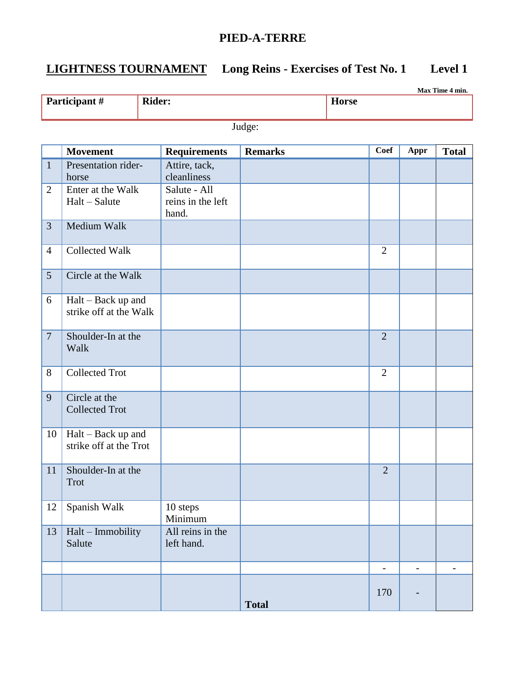# **LIGHTNESS TOURNAMENT Long Reins - Exercises of Test No. 1 Level 1**

| Max Time 4 min.               |                                              |                                            |              |                |  |                          |                          |                          |  |
|-------------------------------|----------------------------------------------|--------------------------------------------|--------------|----------------|--|--------------------------|--------------------------|--------------------------|--|
| Participant#<br><b>Rider:</b> |                                              |                                            | <b>Horse</b> |                |  |                          |                          |                          |  |
|                               | Judge:                                       |                                            |              |                |  |                          |                          |                          |  |
|                               | <b>Movement</b>                              | <b>Requirements</b>                        |              | <b>Remarks</b> |  | <b>Coef</b>              | Appr                     | <b>Total</b>             |  |
| $\mathbf{1}$                  | Presentation rider-<br>horse                 | Attire, tack,<br>cleanliness               |              |                |  |                          |                          |                          |  |
| $\overline{2}$                | Enter at the Walk<br>$Halt - Salute$         | Salute - All<br>reins in the left<br>hand. |              |                |  |                          |                          |                          |  |
| $\overline{3}$                | Medium Walk                                  |                                            |              |                |  |                          |                          |                          |  |
| $\overline{4}$                | <b>Collected Walk</b>                        |                                            |              |                |  | $\overline{2}$           |                          |                          |  |
| $5\overline{)}$               | Circle at the Walk                           |                                            |              |                |  |                          |                          |                          |  |
| 6                             | Halt – Back up and<br>strike off at the Walk |                                            |              |                |  |                          |                          |                          |  |
| $\overline{7}$                | Shoulder-In at the<br>Walk                   |                                            |              |                |  | $\overline{2}$           |                          |                          |  |
| 8                             | <b>Collected Trot</b>                        |                                            |              |                |  | $\overline{2}$           |                          |                          |  |
| 9                             | Circle at the<br><b>Collected Trot</b>       |                                            |              |                |  |                          |                          |                          |  |
| 10                            | Halt – Back up and<br>strike off at the Trot |                                            |              |                |  |                          |                          |                          |  |
|                               | 11   Shoulder-In at the<br>Trot              |                                            |              |                |  | $\overline{2}$           |                          |                          |  |
| 12                            | Spanish Walk                                 | 10 steps<br>Minimum                        |              |                |  |                          |                          |                          |  |
| 13                            | Halt - Immobility<br>Salute                  | All reins in the<br>left hand.             |              |                |  |                          |                          |                          |  |
|                               |                                              |                                            |              |                |  | $\overline{\phantom{a}}$ | $\overline{\phantom{a}}$ | $\overline{\phantom{0}}$ |  |
|                               |                                              |                                            |              | <b>Total</b>   |  | 170                      |                          |                          |  |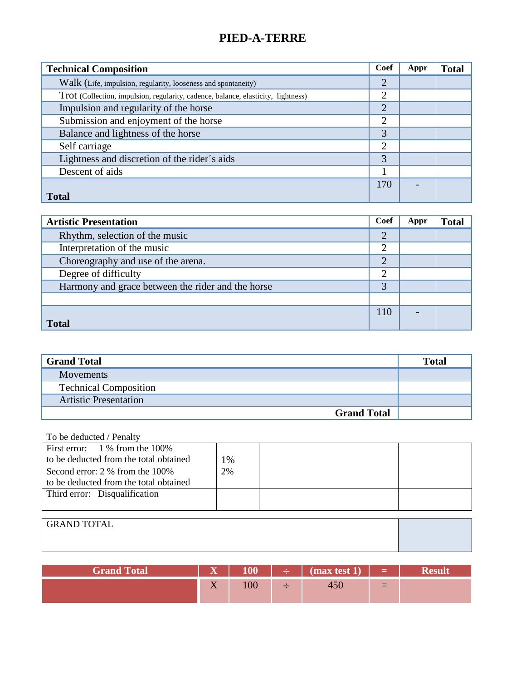| <b>Technical Composition</b>                                                      | Coef           | Appr | <b>Total</b> |
|-----------------------------------------------------------------------------------|----------------|------|--------------|
| Walk (Life, impulsion, regularity, looseness and spontaneity)                     | $\overline{2}$ |      |              |
| Trot (Collection, impulsion, regularity, cadence, balance, elasticity, lightness) | 2              |      |              |
| Impulsion and regularity of the horse                                             | $\overline{2}$ |      |              |
| Submission and enjoyment of the horse                                             | $\overline{2}$ |      |              |
| Balance and lightness of the horse                                                | 3              |      |              |
| Self carriage                                                                     | $\overline{2}$ |      |              |
| Lightness and discretion of the rider's aids                                      | 3              |      |              |
| Descent of aids                                                                   |                |      |              |
|                                                                                   | 170            |      |              |
| <b>Total</b>                                                                      |                |      |              |

| <b>Artistic Presentation</b>                      | Coef           | Appr | <b>Total</b> |
|---------------------------------------------------|----------------|------|--------------|
| Rhythm, selection of the music                    | 2              |      |              |
| Interpretation of the music                       | $\overline{2}$ |      |              |
| Choreography and use of the arena.                | $\overline{2}$ |      |              |
| Degree of difficulty                              | $\overline{2}$ |      |              |
| Harmony and grace between the rider and the horse | 3              |      |              |
|                                                   |                |      |              |
|                                                   | 110            |      |              |
| <b>Total</b>                                      |                |      |              |

| <b>Grand Total</b>           | <b>Total</b> |
|------------------------------|--------------|
| <b>Movements</b>             |              |
| <b>Technical Composition</b> |              |
| <b>Artistic Presentation</b> |              |
| <b>Grand Total</b>           |              |

| First error: $1\%$ from the 100%       |    |  |  |  |
|----------------------------------------|----|--|--|--|
| to be deducted from the total obtained | 1% |  |  |  |
| Second error: 2 % from the 100%        | 2% |  |  |  |
| to be deducted from the total obtained |    |  |  |  |
| Third error: Disqualification          |    |  |  |  |
|                                        |    |  |  |  |
|                                        |    |  |  |  |
| LGRAND TOTAL                           |    |  |  |  |

| <b>GRAND TOTAL</b> |  |
|--------------------|--|
|                    |  |
|                    |  |

| <b>Grand Total</b> | $\overline{\mathbf{x}}$<br>-- | 100 | $\div$ (max test 1) | $\blacksquare$ $\blacksquare$ $\blacksquare$ $\blacksquare$ $\blacksquare$ $\blacksquare$ $\blacksquare$ $\blacksquare$ $\blacksquare$ $\blacksquare$ $\blacksquare$ $\blacksquare$ $\blacksquare$ $\blacksquare$ $\blacksquare$ $\blacksquare$ $\blacksquare$ $\blacksquare$ $\blacksquare$ $\blacksquare$ $\blacksquare$ $\blacksquare$ $\blacksquare$ $\blacksquare$ $\blacksquare$ $\blacksquare$ $\blacksquare$ $\blacksquare$ $\blacksquare$ $\blacksquare$ $\blacksquare$ $\blacks$ |  |
|--------------------|-------------------------------|-----|---------------------|--------------------------------------------------------------------------------------------------------------------------------------------------------------------------------------------------------------------------------------------------------------------------------------------------------------------------------------------------------------------------------------------------------------------------------------------------------------------------------------------|--|
|                    | $-$<br>$\mathbf{Y}$           | TUV |                     | $=$                                                                                                                                                                                                                                                                                                                                                                                                                                                                                        |  |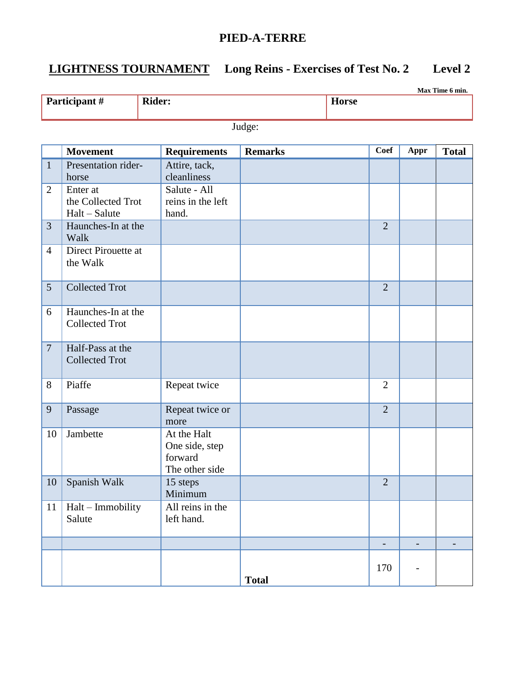## **LIGHTNESS TOURNAMENT Long Reins - Exercises of Test No. 2 Level 2**

|                | Max Time 6 min.                                 |                                                            |                |                          |                          |              |  |  |  |
|----------------|-------------------------------------------------|------------------------------------------------------------|----------------|--------------------------|--------------------------|--------------|--|--|--|
|                | Participant #                                   | <b>Rider:</b>                                              |                | <b>Horse</b>             |                          |              |  |  |  |
|                | Judge:                                          |                                                            |                |                          |                          |              |  |  |  |
|                | <b>Movement</b>                                 | <b>Requirements</b>                                        | <b>Remarks</b> | <b>Coef</b>              | Appr                     | <b>Total</b> |  |  |  |
| $\mathbf{1}$   | Presentation rider-<br>horse                    | Attire, tack,<br>cleanliness                               |                |                          |                          |              |  |  |  |
| $\overline{2}$ | Enter at<br>the Collected Trot<br>Halt - Salute | Salute - All<br>reins in the left<br>hand.                 |                |                          |                          |              |  |  |  |
| $\overline{3}$ | Haunches-In at the<br>Walk                      |                                                            |                | $\overline{2}$           |                          |              |  |  |  |
| $\overline{4}$ | Direct Pirouette at<br>the Walk                 |                                                            |                |                          |                          |              |  |  |  |
| 5              | <b>Collected Trot</b>                           |                                                            |                | $\overline{2}$           |                          |              |  |  |  |
| 6              | Haunches-In at the<br><b>Collected Trot</b>     |                                                            |                |                          |                          |              |  |  |  |
| $\overline{7}$ | Half-Pass at the<br><b>Collected Trot</b>       |                                                            |                |                          |                          |              |  |  |  |
| 8              | Piaffe                                          | Repeat twice                                               |                | $\overline{2}$           |                          |              |  |  |  |
| 9              | Passage                                         | Repeat twice or<br>more                                    |                | $\overline{2}$           |                          |              |  |  |  |
| 10             | Jambette                                        | At the Halt<br>One side, step<br>forward<br>The other side |                |                          |                          |              |  |  |  |
| 10             | Spanish Walk                                    | 15 steps<br>Minimum                                        |                | $\overline{2}$           |                          |              |  |  |  |
| 11             | Halt - Immobility<br>Salute                     | All reins in the<br>left hand.                             |                |                          |                          |              |  |  |  |
|                |                                                 |                                                            |                | $\overline{\phantom{a}}$ | $\overline{\phantom{0}}$ |              |  |  |  |
|                |                                                 |                                                            | <b>Total</b>   | 170                      |                          |              |  |  |  |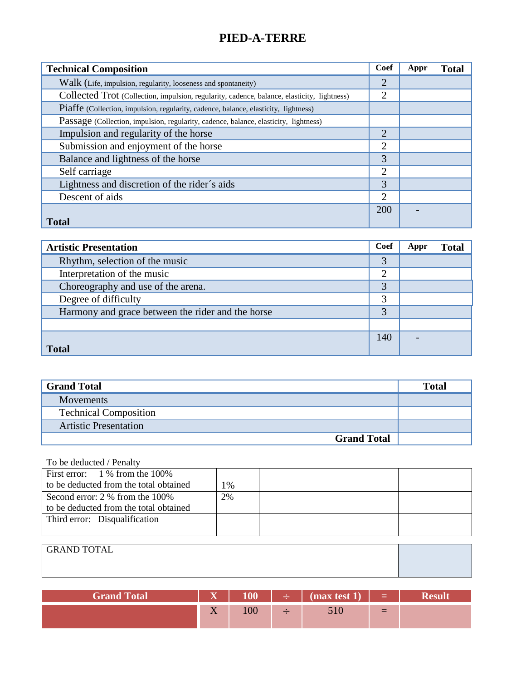| <b>Technical Composition</b>                                                                | Coef           | Appr | <b>Total</b> |
|---------------------------------------------------------------------------------------------|----------------|------|--------------|
| Walk (Life, impulsion, regularity, looseness and spontaneity)                               | $\overline{2}$ |      |              |
| Collected Trot (Collection, impulsion, regularity, cadence, balance, elasticity, lightness) | $\overline{2}$ |      |              |
| Piaffe (Collection, impulsion, regularity, cadence, balance, elasticity, lightness)         |                |      |              |
| Passage (Collection, impulsion, regularity, cadence, balance, elasticity, lightness)        |                |      |              |
| Impulsion and regularity of the horse                                                       | $\overline{2}$ |      |              |
| Submission and enjoyment of the horse                                                       |                |      |              |
| Balance and lightness of the horse                                                          | 3              |      |              |
| Self carriage                                                                               | $\overline{2}$ |      |              |
| Lightness and discretion of the rider's aids                                                | 3              |      |              |
| Descent of aids                                                                             | $\overline{2}$ |      |              |
|                                                                                             | 200            |      |              |
| <b>Total</b>                                                                                |                |      |              |

| <b>Artistic Presentation</b>                      | <b>Coef</b>    | Appr | <b>Total</b> |
|---------------------------------------------------|----------------|------|--------------|
| Rhythm, selection of the music                    | 3              |      |              |
| Interpretation of the music                       | $\overline{2}$ |      |              |
| Choreography and use of the arena.                | 3              |      |              |
| Degree of difficulty                              | 3              |      |              |
| Harmony and grace between the rider and the horse | 3              |      |              |
|                                                   |                |      |              |
|                                                   | 140            |      |              |
| <b>Total</b>                                      |                |      |              |

| <b>Grand Total</b>           | <b>Total</b> |
|------------------------------|--------------|
| <b>Movements</b>             |              |
| <b>Technical Composition</b> |              |
| <b>Artistic Presentation</b> |              |
| <b>Grand Total</b>           |              |

| First error: $1\%$ from the 100%       |    |  |
|----------------------------------------|----|--|
| to be deducted from the total obtained | 1% |  |
| Second error: 2 % from the 100%        | 2% |  |
| to be deducted from the total obtained |    |  |
| Third error: Disqualification          |    |  |
|                                        |    |  |

| <b>GRAND TOTAL</b> |  |
|--------------------|--|
|                    |  |
|                    |  |

| <b>Grand Total</b> | $\overline{\mathbf{x}}$<br>z  |       | <u> 수 - 1</u> | $\text{max test 1}$ |          |  |
|--------------------|-------------------------------|-------|---------------|---------------------|----------|--|
|                    | $\sim$ $\sim$<br>$\mathbf{Y}$ | 1 V V |               | JIV                 | $\equiv$ |  |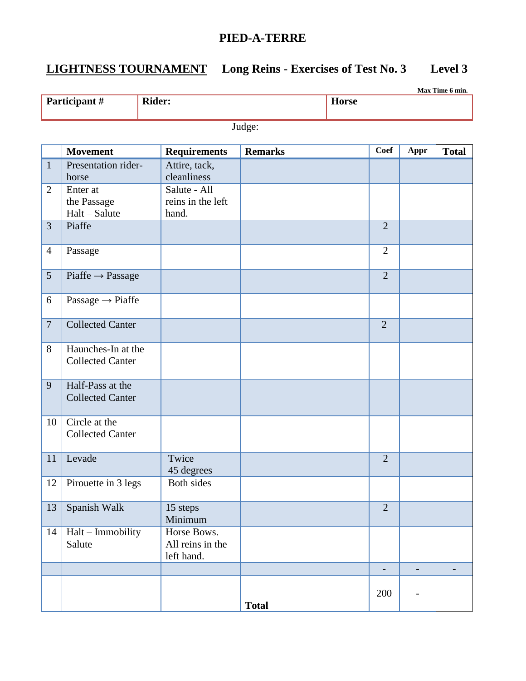# **LIGHTNESS TOURNAMENT Long Reins - Exercises of Test No. 3 Level 3**

|                |                                               |                                               |                |                   |                          | Max Time 6 min.   |
|----------------|-----------------------------------------------|-----------------------------------------------|----------------|-------------------|--------------------------|-------------------|
|                | Participant#                                  | <b>Rider:</b>                                 |                | <b>Horse</b>      |                          |                   |
|                |                                               |                                               | Judge:         |                   |                          |                   |
|                | <b>Movement</b>                               | <b>Requirements</b>                           | <b>Remarks</b> | <b>Coef</b>       | Appr                     | <b>Total</b>      |
| $\mathbf{1}$   | Presentation rider-<br>horse                  | Attire, tack,<br>cleanliness                  |                |                   |                          |                   |
| $\overline{2}$ | Enter at<br>the Passage<br>Halt - Salute      | Salute - All<br>reins in the left<br>hand.    |                |                   |                          |                   |
| $\overline{3}$ | Piaffe                                        |                                               |                | $\overline{2}$    |                          |                   |
| $\overline{4}$ | Passage                                       |                                               |                | $\overline{2}$    |                          |                   |
| 5              | $Pi$ affe $\rightarrow$ Passage               |                                               |                | $\overline{2}$    |                          |                   |
| 6              | Passage $\rightarrow$ Piaffe                  |                                               |                |                   |                          |                   |
| $\overline{7}$ | <b>Collected Canter</b>                       |                                               |                | $\overline{2}$    |                          |                   |
| 8              | Haunches-In at the<br><b>Collected Canter</b> |                                               |                |                   |                          |                   |
| 9              | Half-Pass at the<br><b>Collected Canter</b>   |                                               |                |                   |                          |                   |
| 10             | Circle at the<br><b>Collected Canter</b>      |                                               |                |                   |                          |                   |
| 11             | Levade                                        | Twice<br>45 degrees                           |                | $\overline{2}$    |                          |                   |
| 12             | Pirouette in 3 legs                           | Both sides                                    |                |                   |                          |                   |
| 13             | Spanish Walk                                  | 15 steps<br>Minimum                           |                | $\overline{2}$    |                          |                   |
| 14             | Halt - Immobility<br>Salute                   | Horse Bows.<br>All reins in the<br>left hand. |                |                   |                          |                   |
|                |                                               |                                               |                | $\qquad \qquad -$ | $\overline{\phantom{a}}$ | $\qquad \qquad -$ |
|                |                                               |                                               | <b>Total</b>   | 200               |                          |                   |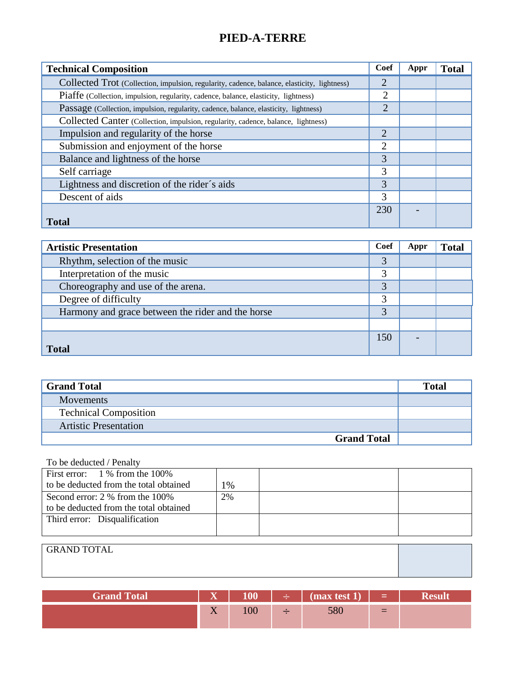| <b>Technical Composition</b>                                                                | Coef           | Appr | <b>Total</b> |
|---------------------------------------------------------------------------------------------|----------------|------|--------------|
| Collected Trot (Collection, impulsion, regularity, cadence, balance, elasticity, lightness) | $\overline{2}$ |      |              |
| Piaffe (Collection, impulsion, regularity, cadence, balance, elasticity, lightness)         | $\overline{2}$ |      |              |
| Passage (Collection, impulsion, regularity, cadence, balance, elasticity, lightness)        | $\overline{2}$ |      |              |
| Collected Canter (Collection, impulsion, regularity, cadence, balance, lightness)           |                |      |              |
| Impulsion and regularity of the horse                                                       | $\overline{2}$ |      |              |
| Submission and enjoyment of the horse                                                       | $\overline{2}$ |      |              |
| Balance and lightness of the horse                                                          | 3              |      |              |
| Self carriage                                                                               | 3              |      |              |
| Lightness and discretion of the rider's aids                                                | 3              |      |              |
| Descent of aids                                                                             | 3              |      |              |
|                                                                                             | 230            |      |              |
| <b>Total</b>                                                                                |                |      |              |

| <b>Artistic Presentation</b>                      | <b>Coef</b> | Appr | <b>Total</b> |
|---------------------------------------------------|-------------|------|--------------|
| Rhythm, selection of the music                    | 3           |      |              |
| Interpretation of the music                       | 3           |      |              |
| Choreography and use of the arena.                | 3           |      |              |
| Degree of difficulty                              | 3           |      |              |
| Harmony and grace between the rider and the horse | 3           |      |              |
|                                                   |             |      |              |
|                                                   | 150         |      |              |
| <b>Total</b>                                      |             |      |              |

| <b>Grand Total</b>           | <b>Total</b> |
|------------------------------|--------------|
| <b>Movements</b>             |              |
| <b>Technical Composition</b> |              |
| <b>Artistic Presentation</b> |              |
| <b>Grand Total</b>           |              |

| First error: $1\%$ from the 100%       |    |  |
|----------------------------------------|----|--|
| to be deducted from the total obtained | 1% |  |
| Second error: 2 % from the 100%        | 2% |  |
| to be deducted from the total obtained |    |  |
| Third error: Disqualification          |    |  |
|                                        |    |  |

| <sup>1</sup> GRAND TOTAL |  |
|--------------------------|--|
|                          |  |
|                          |  |

| <b>Grand Total</b> | $\overline{\mathbf{x}}$<br>. | 100 | . ÷ 1 | $\frac{1}{2}$ (max test 1) | - <b>- - - - -</b> - - |  |
|--------------------|------------------------------|-----|-------|----------------------------|------------------------|--|
|                    | T<br>$\Lambda$               | 100 |       | vov                        | $=$                    |  |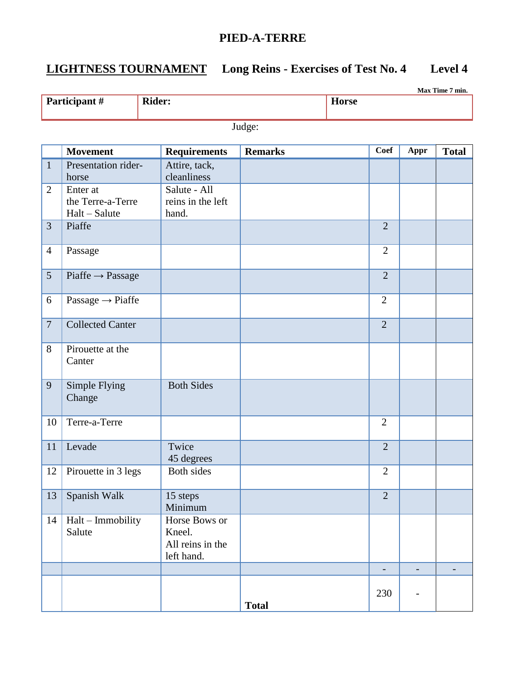## **LIGHTNESS TOURNAMENT Long Reins - Exercises of Test No. 4 Level 4**

|                | Max Time 7 min.                 |               |                              |                |              |                |               |              |
|----------------|---------------------------------|---------------|------------------------------|----------------|--------------|----------------|---------------|--------------|
|                | Participant #                   | <b>Rider:</b> |                              |                | <b>Horse</b> |                |               |              |
|                |                                 |               |                              |                |              |                |               |              |
|                |                                 |               |                              | Judge:         |              |                |               |              |
|                | <b>Movement</b>                 |               | <b>Requirements</b>          | <b>Remarks</b> |              | Coef           | Appr          | <b>Total</b> |
| $\mathbf{1}$   | Presentation rider-             |               | Attire, tack,<br>cleanliness |                |              |                |               |              |
| $\overline{2}$ | horse<br>Enter at               |               | Salute - All                 |                |              |                |               |              |
|                | the Terre-a-Terre               |               | reins in the left            |                |              |                |               |              |
|                | Halt - Salute                   |               | hand.                        |                |              |                |               |              |
| 3              | Piaffe                          |               |                              |                |              | $\overline{2}$ |               |              |
|                |                                 |               |                              |                |              |                |               |              |
| $\overline{4}$ | Passage                         |               |                              |                |              | $\overline{2}$ |               |              |
| 5              | $Pi$ affe $\rightarrow$ Passage |               |                              |                |              | $\overline{2}$ |               |              |
| 6              | Passage $\rightarrow$ Piaffe    |               |                              |                |              | $\overline{2}$ |               |              |
| $\overline{7}$ | <b>Collected Canter</b>         |               |                              |                |              | $\overline{2}$ |               |              |
| 8              | Pirouette at the<br>Canter      |               |                              |                |              |                |               |              |
| 9              | Simple Flying<br>Change         |               | <b>Both Sides</b>            |                |              |                |               |              |
| 10             | Terre-a-Terre                   |               |                              |                |              | $\overline{2}$ |               |              |
| 11             | Levade                          |               | Twice<br>45 degrees          |                |              | $\overline{2}$ |               |              |
| 12             | Pirouette in 3 legs             |               | Both sides                   |                |              | 2              |               |              |
| 13             | Spanish Walk                    |               | 15 steps<br>Minimum          |                |              | $\overline{2}$ |               |              |
| 14             | Halt - Immobility<br>Salute     |               | Horse Bows or<br>Kneel.      |                |              |                |               |              |
|                |                                 |               | All reins in the             |                |              |                |               |              |
|                |                                 |               | left hand.                   |                |              |                |               |              |
|                |                                 |               |                              |                |              | $\blacksquare$ | $\frac{1}{2}$ |              |
|                |                                 |               |                              | <b>Total</b>   |              | 230            |               |              |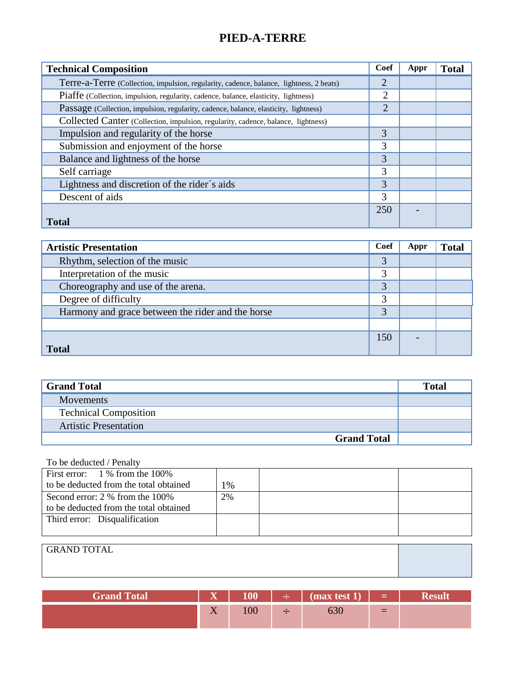| <b>Technical Composition</b>                                                            | Coef           | Appr | <b>Total</b> |
|-----------------------------------------------------------------------------------------|----------------|------|--------------|
| Terre-a-Terre (Collection, impulsion, regularity, cadence, balance, lightness, 2 beats) | $\overline{2}$ |      |              |
| Piaffe (Collection, impulsion, regularity, cadence, balance, elasticity, lightness)     | $\overline{2}$ |      |              |
| Passage (Collection, impulsion, regularity, cadence, balance, elasticity, lightness)    | $\overline{2}$ |      |              |
| Collected Canter (Collection, impulsion, regularity, cadence, balance, lightness)       |                |      |              |
| Impulsion and regularity of the horse                                                   | 3              |      |              |
| Submission and enjoyment of the horse                                                   | 3              |      |              |
| Balance and lightness of the horse                                                      | 3              |      |              |
| Self carriage                                                                           | 3              |      |              |
| Lightness and discretion of the rider's aids                                            | 3              |      |              |
| Descent of aids                                                                         | 3              |      |              |
|                                                                                         | 250            |      |              |
| <b>Total</b>                                                                            |                |      |              |

| <b>Artistic Presentation</b>                      | <b>Coef</b> | Appr | <b>Total</b> |
|---------------------------------------------------|-------------|------|--------------|
| Rhythm, selection of the music                    | 3           |      |              |
| Interpretation of the music                       | 3           |      |              |
| Choreography and use of the arena.                | 3           |      |              |
| Degree of difficulty                              | 3           |      |              |
| Harmony and grace between the rider and the horse | 3           |      |              |
|                                                   |             |      |              |
|                                                   | 150         |      |              |
| <b>Total</b>                                      |             |      |              |

| <b>Grand Total</b>           | Total |
|------------------------------|-------|
| <b>Movements</b>             |       |
| <b>Technical Composition</b> |       |
| <b>Artistic Presentation</b> |       |
| <b>Grand Total</b>           |       |

| First error: $1\%$ from the 100%       |    |  |
|----------------------------------------|----|--|
| to be deducted from the total obtained | 1% |  |
| Second error: 2 % from the 100%        | 2% |  |
| to be deducted from the total obtained |    |  |
| Third error: Disqualification          |    |  |
|                                        |    |  |

| <b>GRAND TOTAL</b> |  |
|--------------------|--|
|                    |  |
|                    |  |

| <b>Grand Total</b> | $\overline{\mathbf{x}}$<br>. | 100 | . ÷ 11 | $\frac{1}{2}$ (max test 1) | and the first security of the line |  |
|--------------------|------------------------------|-----|--------|----------------------------|------------------------------------|--|
|                    | T<br>$\Lambda$               | 100 |        |                            | $\equiv$                           |  |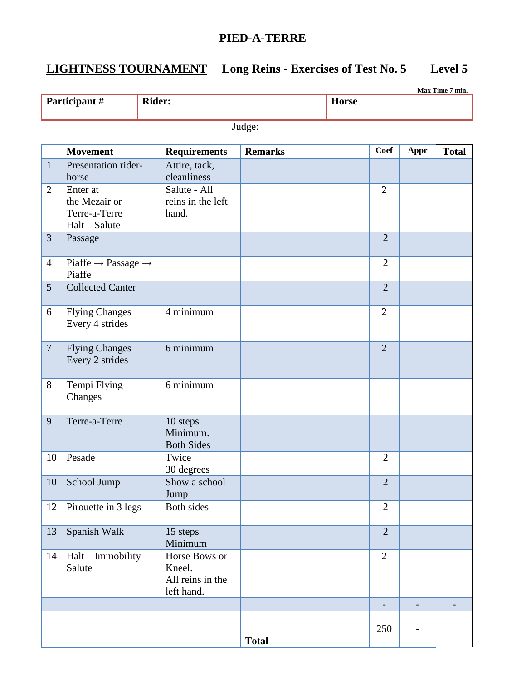**Max Time 7 min.**

## **LIGHTNESS TOURNAMENT Long Reins - Exercises of Test No. 5 Level 5**

**Participant # Rider: Horse** Judge: **Movement Requirements Remarks Coef Appr Total** 1 Presentation riderhorse Attire, tack, cleanliness 2 Enter at the Mezair or Terre-a-Terre Halt – Salute Salute - All reins in the left hand. 2 3 Passage 2 4 | Piaffe  $\rightarrow$  Passage  $\rightarrow$ Piaffe 2 5 Collected Canter 2 6 Flying Changes Every 4 strides 4 minimum 2 7 | Flying Changes Every 2 strides  $6 \text{ minimum}$  2 8 Tempi Flying Changes 6 minimum 9 Terre-a-Terre 10 steps Minimum. Both Sides 10 Pesade Twice 30 degrees 2 10 School Jump Show a school Jump 2 12 Pirouette in 3 legs Both sides 2 13 Spanish Walk 15 steps Minimum  $\overline{2}$ 14 Halt – Immobility Salute Horse Bows or Kneel. All reins in the left hand.  $\mathfrak{D}$  - - - **Total**  $250$  -